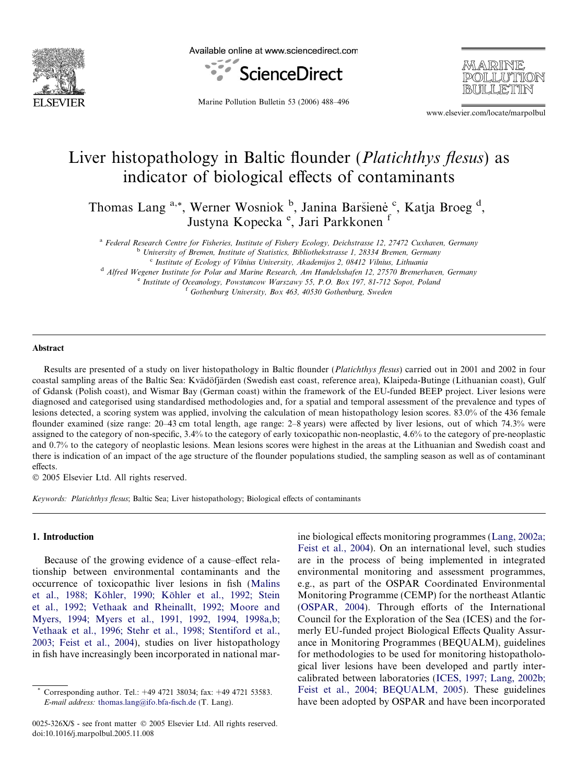

Available online at www.sciencedirect.com



MARINE **POLLUTION** 

Marine Pollution Bulletin 53 (2006) 488–496

www.elsevier.com/locate/marpolbul

# Liver histopathology in Baltic flounder *(Platichthys flesus)* as indicator of biological effects of contaminants

Thomas Lang <sup>a,\*</sup>, Werner Wosniok <sup>b</sup>, Janina Baršienė <sup>c</sup>, Katja Broeg <sup>d</sup>, Justyna Kopecka<sup>e</sup>, Jari Parkkonen<sup>f</sup>

<sup>a</sup> Federal Research Centre for Fisheries, Institute of Fishery Ecology, Deichstrasse 12, 27472 Cuxhaven, Germany <sup>b</sup> University of Bremen, Institute of Statistics, Bibliothekstrasse 1, 28334 Bremen, Germany

<sup>c</sup> Institute of Ecology of Vilnius University, Akademijos 2, 08412 Vilnius, Lithuania

<sup>d</sup> Alfred Wegener Institute for Polar and Marine Research, Am Handelsshafen 12, 27570 Bremerhaven, Germany <sup>e</sup> Institute of Oceanology, Powstancow Warszawy 55, P.O. Box 197, 81-712 Sopot, Poland

<sup>f</sup> Gothenburg University, Box 463, 40530 Gothenburg, Sweden

#### Abstract

Results are presented of a study on liver histopathology in Baltic flounder (Platichthys flesus) carried out in 2001 and 2002 in four coastal sampling areas of the Baltic Sea: Kvädöfjärden (Swedish east coast, reference area), Klaipeda-Butinge (Lithuanian coast), Gulf of Gdansk (Polish coast), and Wismar Bay (German coast) within the framework of the EU-funded BEEP project. Liver lesions were diagnosed and categorised using standardised methodologies and, for a spatial and temporal assessment of the prevalence and types of lesions detected, a scoring system was applied, involving the calculation of mean histopathology lesion scores. 83.0% of the 436 female flounder examined (size range: 20–43 cm total length, age range: 2–8 years) were affected by liver lesions, out of which 74.3% were assigned to the category of non-specific, 3.4% to the category of early toxicopathic non-neoplastic, 4.6% to the category of pre-neoplastic and 0.7% to the category of neoplastic lesions. Mean lesions scores were highest in the areas at the Lithuanian and Swedish coast and there is indication of an impact of the age structure of the flounder populations studied, the sampling season as well as of contaminant effects.

© 2005 Elsevier Ltd. All rights reserved.

Keywords: Platichthys flesus; Baltic Sea; Liver histopathology; Biological effects of contaminants

# 1. Introduction

Because of the growing evidence of a cause–effect relationship between environmental contaminants and the occurrence of toxicopathic liver lesions in fish [\(Malins](#page-8-0) et al., 1988; Köhler, 1990; Köhler et al., 1992; Stein [et al., 1992; Vethaak and Rheinallt, 1992; Moore and](#page-8-0) [Myers, 1994; Myers et al., 1991, 1992, 1994, 1998a,b;](#page-8-0) [Vethaak et al., 1996; Stehr et al., 1998; Stentiford et al.,](#page-8-0) [2003; Feist et al., 2004](#page-8-0)), studies on liver histopathology in fish have increasingly been incorporated in national marine biological effects monitoring programmes ([Lang, 2002a;](#page-7-0) [Feist et al., 2004\)](#page-7-0). On an international level, such studies are in the process of being implemented in integrated environmental monitoring and assessment programmes, e.g., as part of the OSPAR Coordinated Environmental Monitoring Programme (CEMP) for the northeast Atlantic [\(OSPAR, 2004](#page-8-0)). Through efforts of the International Council for the Exploration of the Sea (ICES) and the formerly EU-funded project Biological Effects Quality Assurance in Monitoring Programmes (BEQUALM), guidelines for methodologies to be used for monitoring histopathological liver lesions have been developed and partly intercalibrated between laboratories ([ICES, 1997; Lang, 2002b;](#page-7-0) [Feist et al., 2004; BEQUALM, 2005](#page-7-0)). These guidelines have been adopted by OSPAR and have been incorporated

Corresponding author. Tel.: +49 4721 38034; fax: +49 4721 53583. E-mail address: [thomas.lang@ifo.bfa-fisch.de](mailto:thomas.lang@ifo.bfa-fisch.de) (T. Lang).

<sup>0025-326</sup>X/\$ - see front matter © 2005 Elsevier Ltd. All rights reserved. doi:10.1016/j.marpolbul.2005.11.008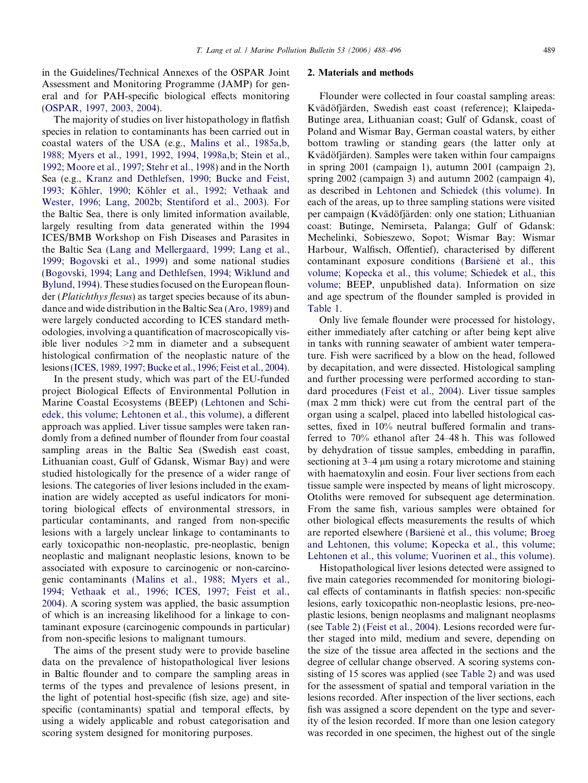in the Guidelines/Technical Annexes of the OSPAR Joint Assessment and Monitoring Programme (JAMP) for general and for PAH-specific biological effects monitoring ([OSPAR, 1997, 2003, 2004](#page-8-0)).

The majority of studies on liver histopathology in flatfish species in relation to contaminants has been carried out in coastal waters of the USA (e.g., [Malins et al., 1985a,b,](#page-8-0) [1988; Myers et al., 1991, 1992, 1994, 1998a,b; Stein et al.,](#page-8-0) [1992; Moore et al., 1997; Stehr et al., 1998\)](#page-8-0) and in the North Sea (e.g., [Kranz and Dethlefsen, 1990; Bucke and Feist,](#page-7-0) 1993; Köhler, 1990; Köhler et al., 1992; Vethaak and [Wester, 1996; Lang, 2002b; Stentiford et al., 2003\)](#page-7-0). For the Baltic Sea, there is only limited information available, largely resulting from data generated within the 1994 ICES/BMB Workshop on Fish Diseases and Parasites in the Baltic Sea ([Lang and Mellergaard, 1999; Lang et al.,](#page-8-0) [1999; Bogovski et al., 1999\)](#page-8-0) and some national studies ([Bogovski, 1994; Lang and Dethlefsen, 1994; Wiklund and](#page-7-0) [Bylund, 1994\)](#page-7-0). These studies focused on the European flounder (*Platichthys flesus*) as target species because of its abundance and wide distribution in the Baltic Sea [\(Aro, 1989\)](#page-7-0) and were largely conducted according to ICES standard methodologies, involving a quantification of macroscopically visible liver nodules  $>2$  mm in diameter and a subsequent histological confirmation of the neoplastic nature of the lesions ([ICES, 1989, 1997; Bucke et al., 1996; Feist et al., 2004\)](#page-7-0).

In the present study, which was part of the EU-funded project Biological Effects of Environmental Pollution in Marine Coastal Ecosystems (BEEP) [\(Lehtonen and Schi](#page-8-0)[edek, this volume; Lehtonen et al., this volume\)](#page-8-0), a different approach was applied. Liver tissue samples were taken randomly from a defined number of flounder from four coastal sampling areas in the Baltic Sea (Swedish east coast, Lithuanian coast, Gulf of Gdansk, Wismar Bay) and were studied histologically for the presence of a wider range of lesions. The categories of liver lesions included in the examination are widely accepted as useful indicators for monitoring biological effects of environmental stressors, in particular contaminants, and ranged from non-specific lesions with a largely unclear linkage to contaminants to early toxicopathic non-neoplastic, pre-neoplastic, benign neoplastic and malignant neoplastic lesions, known to be associated with exposure to carcinogenic or non-carcinogenic contaminants [\(Malins et al., 1988; Myers et al.,](#page-8-0) [1994; Vethaak et al., 1996; ICES, 1997; Feist et al.,](#page-8-0) [2004](#page-8-0)). A scoring system was applied, the basic assumption of which is an increasing likelihood for a linkage to contaminant exposure (carcinogenic compounds in particular) from non-specific lesions to malignant tumours.

The aims of the present study were to provide baseline data on the prevalence of histopathological liver lesions in Baltic flounder and to compare the sampling areas in terms of the types and prevalence of lesions present, in the light of potential host-specific (fish size, age) and sitespecific (contaminants) spatial and temporal effects, by using a widely applicable and robust categorisation and scoring system designed for monitoring purposes.

# 2. Materials and methods

Flounder were collected in four coastal sampling areas: Kvädöfjärden, Swedish east coast (reference); Klaipeda-Butinge area, Lithuanian coast; Gulf of Gdansk, coast of Poland and Wismar Bay, German coastal waters, by either bottom trawling or standing gears (the latter only at Kvädöfjärden). Samples were taken within four campaigns in spring 2001 (campaign 1), autumn 2001 (campaign 2), spring 2002 (campaign 3) and autumn 2002 (campaign 4), as described in [Lehtonen and Schiedek \(this volume\)](#page-8-0). In each of the areas, up to three sampling stations were visited per campaign (Kvädöfjärden: only one station; Lithuanian coast: Butinge, Nemirseta, Palanga; Gulf of Gdansk: Mechelinki, Sobieszewo, Sopot; Wismar Bay: Wismar Harbour, Walfisch, Offentief), characterised by different contaminant exposure conditions (Baršiene et al., this [volume; Kopecka et al., this volume; Schiedek et al., this](#page-7-0) [volume;](#page-7-0) BEEP, unpublished data). Information on size and age spectrum of the flounder sampled is provided in [Table 1](#page-2-0).

Only live female flounder were processed for histology, either immediately after catching or after being kept alive in tanks with running seawater of ambient water temperature. Fish were sacrificed by a blow on the head, followed by decapitation, and were dissected. Histological sampling and further processing were performed according to standard procedures ([Feist et al., 2004](#page-7-0)). Liver tissue samples (max 2 mm thick) were cut from the central part of the organ using a scalpel, placed into labelled histological cassettes, fixed in 10% neutral buffered formalin and transferred to 70% ethanol after 24–48 h. This was followed by dehydration of tissue samples, embedding in paraffin, sectioning at 3–4  $\mu$ m using a rotary microtome and staining with haematoxylin and eosin. Four liver sections from each tissue sample were inspected by means of light microscopy. Otoliths were removed for subsequent age determination. From the same fish, various samples were obtained for other biological effects measurements the results of which are reported elsewhere (Baršiene et al., this volume; Broeg [and Lehtonen, this volume; Kopecka et al., this volume;](#page-7-0) [Lehtonen et al., this volume; Vuorinen et al., this volume\)](#page-7-0).

Histopathological liver lesions detected were assigned to five main categories recommended for monitoring biological effects of contaminants in flatfish species: non-specific lesions, early toxicopathic non-neoplastic lesions, pre-neoplastic lesions, benign neoplasms and malignant neoplasms (see [Table 2\)](#page-3-0) [\(Feist et al., 2004\)](#page-7-0). Lesions recorded were further staged into mild, medium and severe, depending on the size of the tissue area affected in the sections and the degree of cellular change observed. A scoring systems consisting of 15 scores was applied (see [Table 2](#page-3-0)) and was used for the assessment of spatial and temporal variation in the lesions recorded. After inspection of the liver sections, each fish was assigned a score dependent on the type and severity of the lesion recorded. If more than one lesion category was recorded in one specimen, the highest out of the single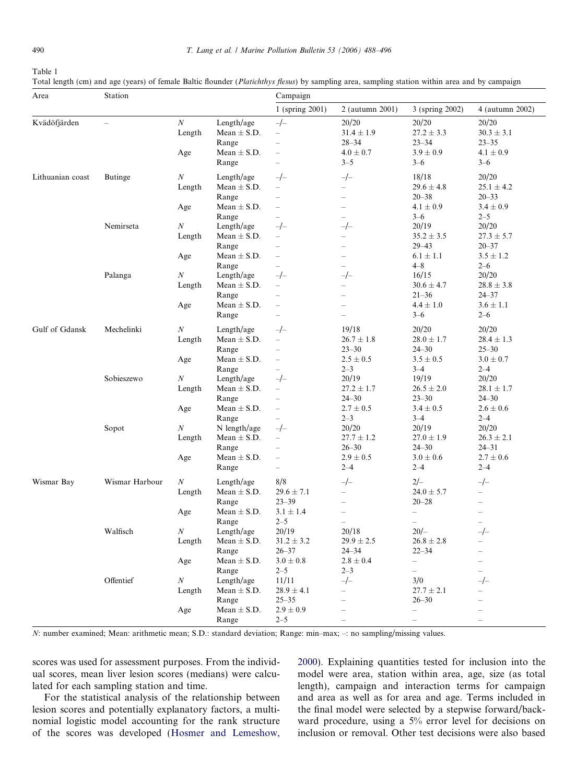<span id="page-2-0"></span>Table 1

|  | Total length (cm) and age (years) of female Baltic flounder (Platichthys flesus) by sampling area, sampling station within area and by campaigr |  |
|--|-------------------------------------------------------------------------------------------------------------------------------------------------|--|

| Area             | Station                  |                                   |                                                                             | Campaign                                                                                                              |                                                                                                                       |                                                                                                                        |                                                                                           |
|------------------|--------------------------|-----------------------------------|-----------------------------------------------------------------------------|-----------------------------------------------------------------------------------------------------------------------|-----------------------------------------------------------------------------------------------------------------------|------------------------------------------------------------------------------------------------------------------------|-------------------------------------------------------------------------------------------|
|                  |                          |                                   |                                                                             | 1 (spring 2001)                                                                                                       | 2 (autumn 2001)                                                                                                       | 3 (spring 2002)                                                                                                        | 4 (autumn 2002)                                                                           |
| Kvädöfjärden     | $\overline{\phantom{0}}$ | $\cal N$<br>Length<br>Age         | Length/age<br>Mean $\pm$ S.D.<br>Range<br>Mean $\pm$ S.D.                   | $-/-$<br>$\overline{\phantom{0}}$<br>$\equiv$<br>$\overline{\phantom{0}}$                                             | 20/20<br>$31.4 \pm 1.9$<br>$28 - 34$<br>$4.0 \pm 0.7$                                                                 | 20/20<br>$27.2 \pm 3.3$<br>$23 - 34$<br>$3.9 \pm 0.9$                                                                  | 20/20<br>$30.3 \pm 3.1$<br>$23 - 35$<br>$4.1 \pm 0.9$                                     |
|                  |                          |                                   | Range                                                                       | $\overline{\phantom{0}}$                                                                                              | $3 - 5$                                                                                                               | $3 - 6$                                                                                                                | $3 - 6$                                                                                   |
| Lithuanian coast | <b>Butinge</b>           | $\boldsymbol{N}$<br>Length<br>Age | Length/age<br>Mean $\pm$ S.D.<br>Range<br>Mean $\pm$ S.D.<br>Range          | $-/-$<br>$\overline{\phantom{0}}$<br>$\overline{\phantom{0}}$<br>$\overline{\phantom{0}}$<br>$\equiv$                 | $-/-$<br>$\overline{\phantom{0}}$<br>$\overline{\phantom{0}}$<br>$\overline{\phantom{0}}$<br>$\overline{\phantom{0}}$ | 18/18<br>$29.6 \pm 4.8$<br>$20 - 38$<br>$4.1 \pm 0.9$<br>$3 - 6$                                                       | 20/20<br>$25.1 \pm 4.2$<br>$20 - 33$<br>$3.4 \pm 0.9$<br>$2 - 5$                          |
|                  | Nemirseta                | $\boldsymbol{N}$<br>Length<br>Age | Length/age<br>Mean $\pm$ S.D.<br>Range<br>Mean $\pm$ S.D.                   | $-/-$<br>$\overline{\phantom{0}}$<br>$\overline{\phantom{0}}$<br>$\equiv$                                             | $-/-$<br>$\overline{\phantom{0}}$<br>$\overline{\phantom{0}}$<br>$\overline{\phantom{0}}$<br>$\overline{\phantom{0}}$ | 20/19<br>$35.2 \pm 3.5$<br>$29 - 43$<br>$6.1 \pm 1.1$<br>$4 - 8$                                                       | 20/20<br>$27.3 \pm 5.7$<br>$20 - 37$<br>$3.5\pm1.2$<br>$2 - 6$                            |
|                  | Palanga                  | $\boldsymbol{N}$<br>Length<br>Age | Range<br>Length/age<br>Mean $\pm$ S.D.<br>Range<br>Mean $\pm$ S.D.<br>Range | $-/-$<br>$\overline{\phantom{0}}$<br>$\overline{\phantom{0}}$<br>$\overline{\phantom{0}}$<br>$\overline{\phantom{0}}$ | $-/-$<br>$\equiv$<br>$\overline{\phantom{0}}$<br>$\overline{\phantom{a}}$                                             | 16/15<br>$30.6 \pm 4.7$<br>$21 - 36$<br>$4.4 \pm 1.0$<br>$3 - 6$                                                       | 20/20<br>$28.8 \pm 3.8$<br>$24 - 37$<br>$3.6 \pm 1.1$<br>$2 - 6$                          |
| Gulf of Gdansk   | Mechelinki               | $\boldsymbol{N}$<br>Length<br>Age | Length/age<br>Mean $\pm$ S.D.<br>Range<br>Mean $\pm$ S.D.                   | $-/-$<br>$\overline{\phantom{0}}$<br>$\overline{\phantom{0}}$<br>$\overline{\phantom{0}}$<br>$\equiv$                 | 19/18<br>$26.7 \pm 1.8$<br>$23 - 30$<br>$2.5 \pm 0.5$<br>$2 - 3$                                                      | 20/20<br>$28.0 \pm 1.7$<br>$24 - 30$<br>$3.5 \pm 0.5$<br>$3 - 4$                                                       | 20/20<br>$28.4 \pm 1.3$<br>$25 - 30$<br>$3.0 \pm 0.7$<br>$2 - 4$                          |
|                  | Sobieszewo               | $\boldsymbol{N}$<br>Length<br>Age | Range<br>Length/age<br>Mean $\pm$ S.D.<br>Range<br>Mean $\pm$ S.D.<br>Range | $-/-$<br>$\overline{\phantom{0}}$<br>$\overline{\phantom{0}}$<br>$\overline{\phantom{0}}$<br>$\overline{\phantom{0}}$ | 20/19<br>$27.2 \pm 1.7$<br>$24 - 30$<br>$2.7 \pm 0.5$<br>$2 - 3$                                                      | 19/19<br>$26.5 \pm 2.0$<br>$23 - 30$<br>$3.4 \pm 0.5$<br>$3 - 4$                                                       | 20/20<br>$28.1 \pm 1.7$<br>$24 - 30$<br>$2.6 \pm 0.6$<br>$2 - 4$                          |
|                  | Sopot                    | $\boldsymbol{N}$<br>Length<br>Age | N length/age<br>Mean $\pm$ S.D.<br>Range<br>Mean $\pm$ S.D.<br>Range        | $-/-$<br>$\overline{\phantom{0}}$<br>$\overline{\phantom{0}}$<br>$\overline{\phantom{0}}$<br>$\overline{\phantom{0}}$ | 20/20<br>$27.7 \pm 1.2$<br>$26 - 30$<br>$2.9 \pm 0.5$<br>$2 - 4$                                                      | 20/19<br>$27.0 \pm 1.9$<br>$24 - 30$<br>$3.0 \pm 0.6$<br>$2 - 4$                                                       | 20/20<br>$26.3 \pm 2.1$<br>$24 - 31$<br>$2.7 \pm 0.6$<br>$2 - 4$                          |
| Wismar Bay       | Wismar Harbour           | $\boldsymbol{N}$<br>Length<br>Age | Length/age<br>Mean $\pm$ S.D.<br>Range<br>Mean $\pm$ S.D.<br>Range          | 8/8<br>$29.6 \pm 7.1$<br>$23 - 39$<br>$3.1 \pm 1.4$<br>$2 - 5$                                                        | $-/-$<br>$\equiv$<br>$\overline{\phantom{0}}$<br>$\qquad \qquad -$<br>$\overline{\phantom{0}}$                        | $2/-$<br>$24.0 \pm 5.7$<br>$20 - 28$<br>$\qquad \qquad -$<br>$\overline{\phantom{0}}$                                  | $-/-$<br>$\overline{\phantom{0}}$<br>$\overline{\phantom{0}}$<br>$\overline{\phantom{0}}$ |
|                  | Walfisch                 | N<br>Length<br>Age                | Length/age<br>Mean $\pm$ S.D.<br>Range<br>Mean $\pm$ S.D.                   | 20/19<br>$31.2 \pm 3.2$<br>$26 - 37$<br>$3.0\pm0.8$                                                                   | 20/18<br>$29.9 \pm 2.5$<br>$24 - 34$<br>$2.8 \pm 0.4$                                                                 | $20/-$<br>$26.8 \pm 2.8$<br>$22 - 34$<br>$\overline{\phantom{0}}$                                                      | $-/-$                                                                                     |
|                  | Offentief                | $\cal N$<br>Length<br>Age         | Range<br>Length/age<br>Mean $\pm$ S.D.<br>Range<br>Mean $\pm$ S.D.<br>Range | $2 - 5$<br>11/11<br>$28.9 \pm 4.1$<br>$25 - 35$<br>$2.9 \pm 0.9$<br>$2 - 5$                                           | $2 - 3$<br>$-/-$                                                                                                      | $\overline{\phantom{0}}$<br>3/0<br>$27.7 \pm 2.1$<br>$26 - 30$<br>$\overline{\phantom{0}}$<br>$\overline{\phantom{0}}$ | $-/-$                                                                                     |

N: number examined; Mean: arithmetic mean; S.D.: standard deviation; Range: min–max; –: no sampling/missing values.

scores was used for assessment purposes. From the individual scores, mean liver lesion scores (medians) were calculated for each sampling station and time.

For the statistical analysis of the relationship between lesion scores and potentially explanatory factors, a multinomial logistic model accounting for the rank structure of the scores was developed [\(Hosmer and Lemeshow,](#page-7-0)

[2000\)](#page-7-0). Explaining quantities tested for inclusion into the model were area, station within area, age, size (as total length), campaign and interaction terms for campaign and area as well as for area and age. Terms included in the final model were selected by a stepwise forward/backward procedure, using a 5% error level for decisions on inclusion or removal. Other test decisions were also based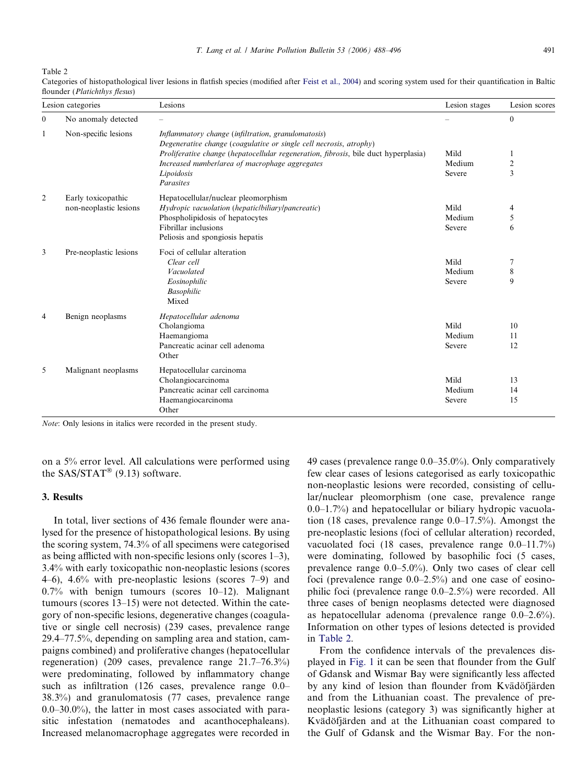<span id="page-3-0"></span>Table 2

| Lesion categories         |                        | Lesions                                                                                                                  | Lesion stages | Lesion scores  |  |
|---------------------------|------------------------|--------------------------------------------------------------------------------------------------------------------------|---------------|----------------|--|
| $\mathbf{0}$              | No anomaly detected    |                                                                                                                          |               | $\mathbf{0}$   |  |
| Non-specific lesions<br>1 |                        | Inflammatory change (infiltration, granulomatosis)<br>Degenerative change (coagulative or single cell necrosis, atrophy) |               |                |  |
|                           |                        | <i>Proliferative change (hepatocellular regeneration, fibrosis, bile duct hyperplasia)</i>                               | Mild          | 1              |  |
|                           |                        | Increased numberlarea of macrophage aggregates                                                                           | Medium        | $\overline{2}$ |  |
|                           |                        | Lipoidosis<br>Parasites                                                                                                  | Severe        | 3              |  |
| 2                         | Early toxicopathic     | Hepatocellular/nuclear pleomorphism                                                                                      |               |                |  |
|                           | non-neoplastic lesions | Hydropic vacuolation (hepatic/biliary/pancreatic)                                                                        | Mild          | 4              |  |
|                           |                        | Phospholipidosis of hepatocytes                                                                                          | Medium        | 5              |  |
|                           |                        | Fibrillar inclusions                                                                                                     | Severe        | 6              |  |
|                           |                        | Peliosis and spongiosis hepatis                                                                                          |               |                |  |
| 3                         | Pre-neoplastic lesions | Foci of cellular alteration                                                                                              |               |                |  |
|                           |                        | Clear cell                                                                                                               | Mild          | 7              |  |
|                           |                        | Vacuolated                                                                                                               | Medium        | 8              |  |
|                           |                        | Eosinophilic                                                                                                             | Severe        | 9              |  |
|                           |                        | <b>Basophilic</b>                                                                                                        |               |                |  |
|                           |                        | Mixed                                                                                                                    |               |                |  |
| $\overline{4}$            | Benign neoplasms       | Hepatocellular adenoma                                                                                                   |               |                |  |
|                           |                        | Cholangioma                                                                                                              | Mild          | 10             |  |
|                           |                        | Haemangioma                                                                                                              | Medium        | 11             |  |
|                           |                        | Pancreatic acinar cell adenoma                                                                                           | Severe        | 12             |  |
|                           |                        | Other                                                                                                                    |               |                |  |
| 5                         | Malignant neoplasms    | Hepatocellular carcinoma                                                                                                 |               |                |  |
|                           |                        | Cholangiocarcinoma                                                                                                       | Mild          | 13             |  |
|                           |                        | Pancreatic acinar cell carcinoma                                                                                         | Medium        | 14             |  |
|                           |                        | Haemangiocarcinoma                                                                                                       | Severe        | 15             |  |
|                           |                        | Other                                                                                                                    |               |                |  |

Categories of histopathological liver lesions in flatfish species (modified after [Feist et al., 2004](#page-7-0)) and scoring system used for their quantification in Baltic flounder (*Platichthys flesus*)

Note: Only lesions in italics were recorded in the present study.

on a 5% error level. All calculations were performed using the  $SAS/STAT^{\circledR}(9.13)$  software.

### 3. Results

In total, liver sections of 436 female flounder were analysed for the presence of histopathological lesions. By using the scoring system, 74.3% of all specimens were categorised as being afflicted with non-specific lesions only (scores 1–3), 3.4% with early toxicopathic non-neoplastic lesions (scores 4–6), 4.6% with pre-neoplastic lesions (scores 7–9) and 0.7% with benign tumours (scores 10–12). Malignant tumours (scores 13–15) were not detected. Within the category of non-specific lesions, degenerative changes (coagulative or single cell necrosis) (239 cases, prevalence range 29.4–77.5%, depending on sampling area and station, campaigns combined) and proliferative changes (hepatocellular regeneration) (209 cases, prevalence range 21.7–76.3%) were predominating, followed by inflammatory change such as infiltration (126 cases, prevalence range 0.0– 38.3%) and granulomatosis (77 cases, prevalence range 0.0–30.0%), the latter in most cases associated with parasitic infestation (nematodes and acanthocephaleans). Increased melanomacrophage aggregates were recorded in 49 cases (prevalence range 0.0–35.0%). Only comparatively few clear cases of lesions categorised as early toxicopathic non-neoplastic lesions were recorded, consisting of cellular/nuclear pleomorphism (one case, prevalence range 0.0–1.7%) and hepatocellular or biliary hydropic vacuolation (18 cases, prevalence range 0.0–17.5%). Amongst the pre-neoplastic lesions (foci of cellular alteration) recorded, vacuolated foci (18 cases, prevalence range 0.0–11.7%) were dominating, followed by basophilic foci (5 cases, prevalence range 0.0–5.0%). Only two cases of clear cell foci (prevalence range 0.0–2.5%) and one case of eosinophilic foci (prevalence range 0.0–2.5%) were recorded. All three cases of benign neoplasms detected were diagnosed as hepatocellular adenoma (prevalence range 0.0–2.6%). Information on other types of lesions detected is provided in Table 2.

From the confidence intervals of the prevalences displayed in [Fig. 1](#page-4-0) it can be seen that flounder from the Gulf of Gdansk and Wismar Bay were significantly less affected by any kind of lesion than flounder from Kvädöfjärden and from the Lithuanian coast. The prevalence of preneoplastic lesions (category 3) was significantly higher at Kvädöfjärden and at the Lithuanian coast compared to the Gulf of Gdansk and the Wismar Bay. For the non-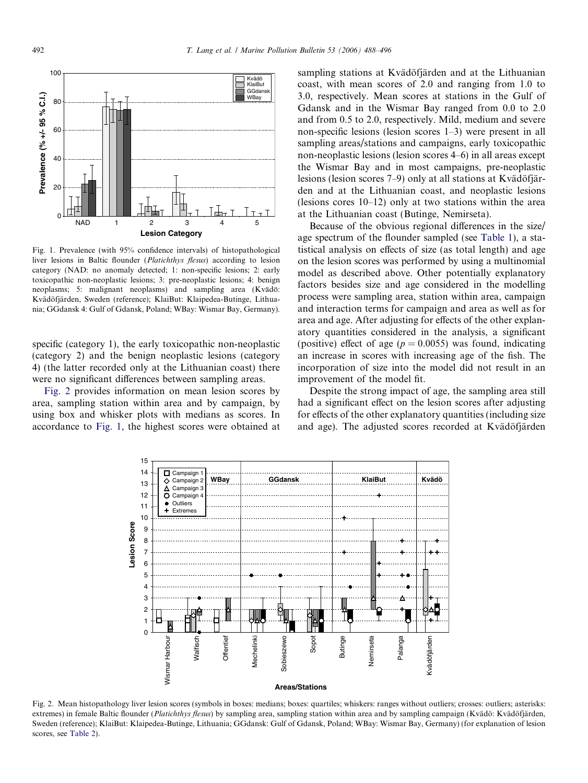<span id="page-4-0"></span>

Fig. 1. Prevalence (with 95% confidence intervals) of histopathological liver lesions in Baltic flounder (*Platichthys flesus*) according to lesion category (NAD: no anomaly detected; 1: non-specific lesions; 2: early toxicopathic non-neoplastic lesions; 3: pre-neoplastic lesions; 4: benign neoplasms; 5: malignant neoplasms) and sampling area (Kvädö: Kvädöfjärden, Sweden (reference); KlaiBut: Klaipedea-Butinge, Lithuania; GGdansk 4: Gulf of Gdansk, Poland; WBay: Wismar Bay, Germany).

specific (category 1), the early toxicopathic non-neoplastic (category 2) and the benign neoplastic lesions (category 4) (the latter recorded only at the Lithuanian coast) there were no significant differences between sampling areas.

Fig. 2 provides information on mean lesion scores by area, sampling station within area and by campaign, by using box and whisker plots with medians as scores. In accordance to Fig. 1, the highest scores were obtained at sampling stations at Kvädöfjärden and at the Lithuanian coast, with mean scores of 2.0 and ranging from 1.0 to 3.0, respectively. Mean scores at stations in the Gulf of Gdansk and in the Wismar Bay ranged from 0.0 to 2.0 and from 0.5 to 2.0, respectively. Mild, medium and severe non-specific lesions (lesion scores 1–3) were present in all sampling areas/stations and campaigns, early toxicopathic non-neoplastic lesions (lesion scores 4–6) in all areas except the Wismar Bay and in most campaigns, pre-neoplastic lesions (lesion scores  $7-9$ ) only at all stations at Kvädöfjärden and at the Lithuanian coast, and neoplastic lesions (lesions cores 10–12) only at two stations within the area at the Lithuanian coast (Butinge, Nemirseta).

Because of the obvious regional differences in the size/ age spectrum of the flounder sampled (see [Table 1\)](#page-2-0), a statistical analysis on effects of size (as total length) and age on the lesion scores was performed by using a multinomial model as described above. Other potentially explanatory factors besides size and age considered in the modelling process were sampling area, station within area, campaign and interaction terms for campaign and area as well as for area and age. After adjusting for effects of the other explanatory quantities considered in the analysis, a significant (positive) effect of age ( $p = 0.0055$ ) was found, indicating an increase in scores with increasing age of the fish. The incorporation of size into the model did not result in an improvement of the model fit.

Despite the strong impact of age, the sampling area still had a significant effect on the lesion scores after adjusting for effects of the other explanatory quantities (including size and age). The adjusted scores recorded at Kvädöfjärden



Fig. 2. Mean histopathology liver lesion scores (symbols in boxes: medians; boxes: quartiles; whiskers: ranges without outliers; crosses: outliers; asterisks: extremes) in female Baltic flounder (Platichthys flesus) by sampling area, sampling station within area and by sampling campaign (Kvädö: Kvädöfjärden, Sweden (reference); KlaiBut: Klaipedea-Butinge, Lithuania; GGdansk: Gulf of Gdansk, Poland; WBay: Wismar Bay, Germany) (for explanation of lesion scores, see [Table 2\)](#page-3-0).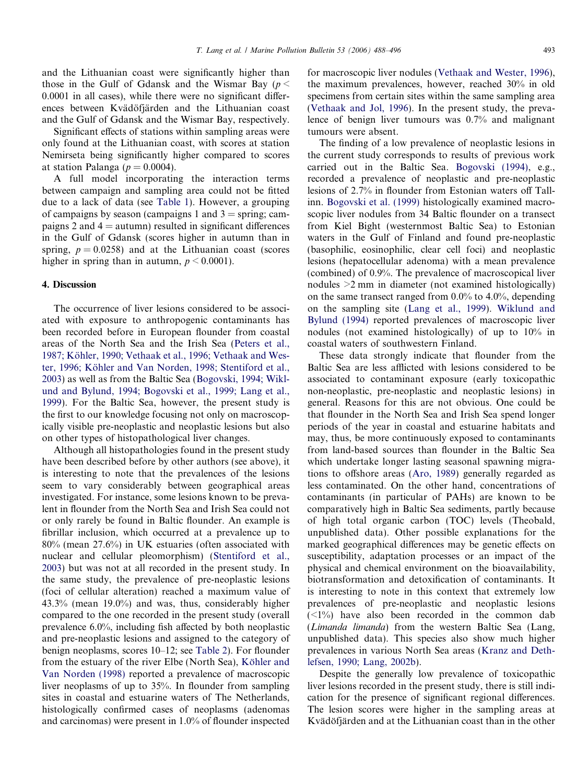and the Lithuanian coast were significantly higher than those in the Gulf of Gdansk and the Wismar Bay ( $p <$ 0.0001 in all cases), while there were no significant differences between Kvädöfjärden and the Lithuanian coast and the Gulf of Gdansk and the Wismar Bay, respectively.

Significant effects of stations within sampling areas were only found at the Lithuanian coast, with scores at station Nemirseta being significantly higher compared to scores at station Palanga ( $p = 0.0004$ ).

A full model incorporating the interaction terms between campaign and sampling area could not be fitted due to a lack of data (see [Table 1\)](#page-2-0). However, a grouping of campaigns by season (campaigns 1 and  $3 =$  spring; campaigns 2 and  $4 =$  autumn) resulted in significant differences in the Gulf of Gdansk (scores higher in autumn than in spring,  $p = 0.0258$ ) and at the Lithuanian coast (scores higher in spring than in autumn,  $p \le 0.0001$ ).

#### 4. Discussion

The occurrence of liver lesions considered to be associated with exposure to anthropogenic contaminants has been recorded before in European flounder from coastal areas of the North Sea and the Irish Sea ([Peters et al.,](#page-8-0) 1987; Köhler, 1990; Vethaak et al., 1996; Vethaak and Wester, 1996; Köhler and Van Norden, 1998; Stentiford et al., [2003](#page-8-0)) as well as from the Baltic Sea ([Bogovski, 1994; Wikl](#page-7-0)[und and Bylund, 1994; Bogovski et al., 1999; Lang et al.,](#page-7-0) [1999](#page-7-0)). For the Baltic Sea, however, the present study is the first to our knowledge focusing not only on macroscopically visible pre-neoplastic and neoplastic lesions but also on other types of histopathological liver changes.

Although all histopathologies found in the present study have been described before by other authors (see above), it is interesting to note that the prevalences of the lesions seem to vary considerably between geographical areas investigated. For instance, some lesions known to be prevalent in flounder from the North Sea and Irish Sea could not or only rarely be found in Baltic flounder. An example is fibrillar inclusion, which occurred at a prevalence up to 80% (mean 27.6%) in UK estuaries (often associated with nuclear and cellular pleomorphism) [\(Stentiford et al.,](#page-8-0) [2003](#page-8-0)) but was not at all recorded in the present study. In the same study, the prevalence of pre-neoplastic lesions (foci of cellular alteration) reached a maximum value of 43.3% (mean 19.0%) and was, thus, considerably higher compared to the one recorded in the present study (overall prevalence 6.0%, including fish affected by both neoplastic and pre-neoplastic lesions and assigned to the category of benign neoplasms, scores 10–12; see [Table 2](#page-3-0)). For flounder from the estuary of the river Elbe (North Sea), Köhler and [Van Norden \(1998\)](#page-7-0) reported a prevalence of macroscopic liver neoplasms of up to 35%. In flounder from sampling sites in coastal and estuarine waters of The Netherlands, histologically confirmed cases of neoplasms (adenomas and carcinomas) were present in 1.0% of flounder inspected for macroscopic liver nodules ([Vethaak and Wester, 1996\)](#page-8-0), the maximum prevalences, however, reached 30% in old specimens from certain sites within the same sampling area ([Vethaak and Jol, 1996\)](#page-8-0). In the present study, the prevalence of benign liver tumours was 0.7% and malignant tumours were absent.

The finding of a low prevalence of neoplastic lesions in the current study corresponds to results of previous work carried out in the Baltic Sea. [Bogovski \(1994\)](#page-7-0), e.g., recorded a prevalence of neoplastic and pre-neoplastic lesions of 2.7% in flounder from Estonian waters off Tallinn. [Bogovski et al. \(1999\)](#page-7-0) histologically examined macroscopic liver nodules from 34 Baltic flounder on a transect from Kiel Bight (westernmost Baltic Sea) to Estonian waters in the Gulf of Finland and found pre-neoplastic (basophilic, eosinophilic, clear cell foci) and neoplastic lesions (hepatocellular adenoma) with a mean prevalence (combined) of 0.9%. The prevalence of macroscopical liver nodules >2 mm in diameter (not examined histologically) on the same transect ranged from 0.0% to 4.0%, depending on the sampling site [\(Lang et al., 1999](#page-8-0)). [Wiklund and](#page-8-0) [Bylund \(1994\)](#page-8-0) reported prevalences of macroscopic liver nodules (not examined histologically) of up to 10% in coastal waters of southwestern Finland.

These data strongly indicate that flounder from the Baltic Sea are less afflicted with lesions considered to be associated to contaminant exposure (early toxicopathic non-neoplastic, pre-neoplastic and neoplastic lesions) in general. Reasons for this are not obvious. One could be that flounder in the North Sea and Irish Sea spend longer periods of the year in coastal and estuarine habitats and may, thus, be more continuously exposed to contaminants from land-based sources than flounder in the Baltic Sea which undertake longer lasting seasonal spawning migrations to offshore areas ([Aro, 1989\)](#page-7-0) generally regarded as less contaminated. On the other hand, concentrations of contaminants (in particular of PAHs) are known to be comparatively high in Baltic Sea sediments, partly because of high total organic carbon (TOC) levels (Theobald, unpublished data). Other possible explanations for the marked geographical differences may be genetic effects on susceptibility, adaptation processes or an impact of the physical and chemical environment on the bioavailability, biotransformation and detoxification of contaminants. It is interesting to note in this context that extremely low prevalences of pre-neoplastic and neoplastic lesions  $(\leq 1\%)$  have also been recorded in the common dab (Limanda limanda) from the western Baltic Sea (Lang, unpublished data). This species also show much higher prevalences in various North Sea areas ([Kranz and Deth](#page-7-0)[lefsen, 1990; Lang, 2002b](#page-7-0)).

Despite the generally low prevalence of toxicopathic liver lesions recorded in the present study, there is still indication for the presence of significant regional differences. The lesion scores were higher in the sampling areas at Kvädöfjärden and at the Lithuanian coast than in the other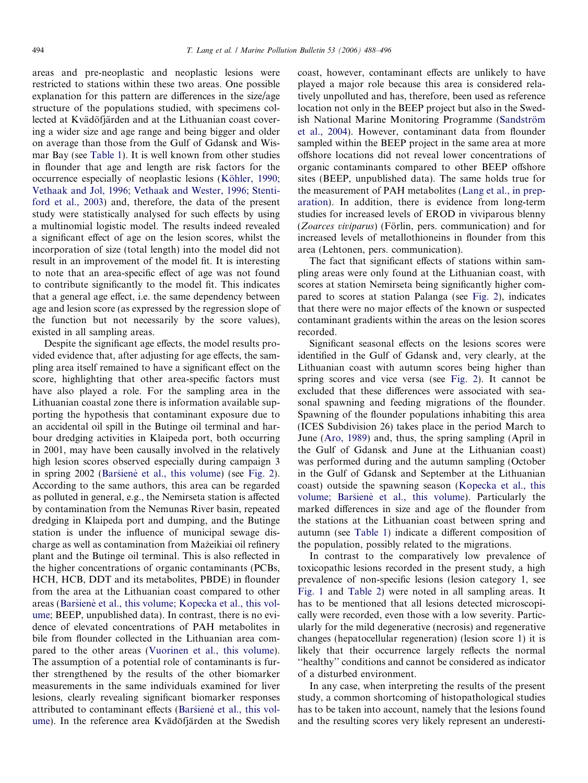areas and pre-neoplastic and neoplastic lesions were restricted to stations within these two areas. One possible explanation for this pattern are differences in the size/age structure of the populations studied, with specimens collected at Kvädöfjärden and at the Lithuanian coast covering a wider size and age range and being bigger and older on average than those from the Gulf of Gdansk and Wismar Bay (see [Table 1\)](#page-2-0). It is well known from other studies in flounder that age and length are risk factors for the occurrence especially of neoplastic lesions (Köhler, 1990; [Vethaak and Jol, 1996; Vethaak and Wester, 1996; Stenti](#page-7-0)[ford et al., 2003\)](#page-7-0) and, therefore, the data of the present study were statistically analysed for such effects by using a multinomial logistic model. The results indeed revealed a significant effect of age on the lesion scores, whilst the incorporation of size (total length) into the model did not result in an improvement of the model fit. It is interesting to note that an area-specific effect of age was not found to contribute significantly to the model fit. This indicates that a general age effect, i.e. the same dependency between age and lesion score (as expressed by the regression slope of the function but not necessarily by the score values), existed in all sampling areas.

Despite the significant age effects, the model results provided evidence that, after adjusting for age effects, the sampling area itself remained to have a significant effect on the score, highlighting that other area-specific factors must have also played a role. For the sampling area in the Lithuanian coastal zone there is information available supporting the hypothesis that contaminant exposure due to an accidental oil spill in the Butinge oil terminal and harbour dredging activities in Klaipeda port, both occurring in 2001, may have been causally involved in the relatively high lesion scores observed especially during campaign 3 in spring  $2002$  (Baršiene [et al., this volume](#page-7-0)) (see [Fig. 2\)](#page-4-0). According to the same authors, this area can be regarded as polluted in general, e.g., the Nemirseta station is affected by contamination from the Nemunas River basin, repeated dredging in Klaipeda port and dumping, and the Butinge station is under the influence of municipal sewage discharge as well as contamination from Mažeikiai oil refinery plant and the Butinge oil terminal. This is also reflected in the higher concentrations of organic contaminants (PCBs, HCH, HCB, DDT and its metabolites, PBDE) in flounder from the area at the Lithuanian coast compared to other areas (Baršienė et al., this volume; Kopecka et al., this vol[ume;](#page-7-0) BEEP, unpublished data). In contrast, there is no evidence of elevated concentrations of PAH metabolites in bile from flounder collected in the Lithuanian area compared to the other areas ([Vuorinen et al., this volume\)](#page-8-0). The assumption of a potential role of contaminants is further strengthened by the results of the other biomarker measurements in the same individuals examined for liver lesions, clearly revealing significant biomarker responses attributed to contaminant effects (Baršiene et al., this vol[ume\)](#page-7-0). In the reference area Kvädöfjärden at the Swedish

coast, however, contaminant effects are unlikely to have played a major role because this area is considered relatively unpolluted and has, therefore, been used as reference location not only in the BEEP project but also in the Swedish National Marine Monitoring Programme (Sandström [et al., 2004](#page-8-0)). However, contaminant data from flounder sampled within the BEEP project in the same area at more offshore locations did not reveal lower concentrations of organic contaminants compared to other BEEP offshore sites (BEEP, unpublished data). The same holds true for the measurement of PAH metabolites [\(Lang et al., in prep](#page-8-0)[aration\)](#page-8-0). In addition, there is evidence from long-term studies for increased levels of EROD in viviparous blenny (Zoarces viviparus) (Förlin, pers. communication) and for increased levels of metallothioneins in flounder from this area (Lehtonen, pers. communication).

The fact that significant effects of stations within sampling areas were only found at the Lithuanian coast, with scores at station Nemirseta being significantly higher compared to scores at station Palanga (see [Fig. 2](#page-4-0)), indicates that there were no major effects of the known or suspected contaminant gradients within the areas on the lesion scores recorded.

Significant seasonal effects on the lesions scores were identified in the Gulf of Gdansk and, very clearly, at the Lithuanian coast with autumn scores being higher than spring scores and vice versa (see [Fig. 2](#page-4-0)). It cannot be excluded that these differences were associated with seasonal spawning and feeding migrations of the flounder. Spawning of the flounder populations inhabiting this area (ICES Subdivision 26) takes place in the period March to June [\(Aro, 1989\)](#page-7-0) and, thus, the spring sampling (April in the Gulf of Gdansk and June at the Lithuanian coast) was performed during and the autumn sampling (October in the Gulf of Gdansk and September at the Lithuanian coast) outside the spawning season ([Kopecka et al., this](#page-7-0) volume; Baršienė et al., this volume). Particularly the marked differences in size and age of the flounder from the stations at the Lithuanian coast between spring and autumn (see [Table 1\)](#page-2-0) indicate a different composition of the population, possibly related to the migrations.

In contrast to the comparatively low prevalence of toxicopathic lesions recorded in the present study, a high prevalence of non-specific lesions (lesion category 1, see [Fig. 1](#page-4-0) and [Table 2](#page-3-0)) were noted in all sampling areas. It has to be mentioned that all lesions detected microscopically were recorded, even those with a low severity. Particularly for the mild degenerative (necrosis) and regenerative changes (hepatocellular regeneration) (lesion score 1) it is likely that their occurrence largely reflects the normal ''healthy'' conditions and cannot be considered as indicator of a disturbed environment.

In any case, when interpreting the results of the present study, a common shortcoming of histopathological studies has to be taken into account, namely that the lesions found and the resulting scores very likely represent an underesti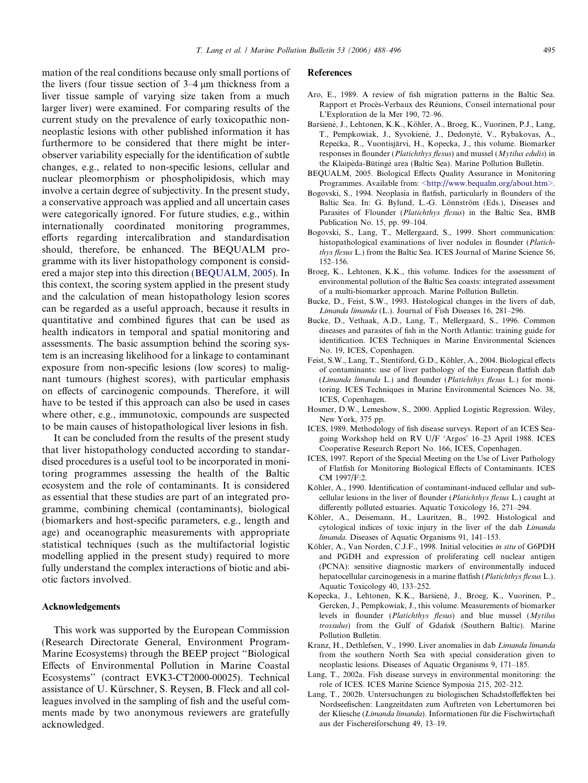<span id="page-7-0"></span>mation of the real conditions because only small portions of the livers (four tissue section of  $3-4 \mu m$  thickness from a liver tissue sample of varying size taken from a much larger liver) were examined. For comparing results of the current study on the prevalence of early toxicopathic nonneoplastic lesions with other published information it has furthermore to be considered that there might be interobserver variability especially for the identification of subtle changes, e.g., related to non-specific lesions, cellular and nuclear pleomorphism or phospholipidosis, which may involve a certain degree of subjectivity. In the present study, a conservative approach was applied and all uncertain cases were categorically ignored. For future studies, e.g., within internationally coordinated monitoring programmes, efforts regarding intercalibration and standardisation should, therefore, be enhanced. The BEQUALM programme with its liver histopathology component is considered a major step into this direction (BEQUALM, 2005). In this context, the scoring system applied in the present study and the calculation of mean histopathology lesion scores can be regarded as a useful approach, because it results in quantitative and combined figures that can be used as health indicators in temporal and spatial monitoring and assessments. The basic assumption behind the scoring system is an increasing likelihood for a linkage to contaminant exposure from non-specific lesions (low scores) to malignant tumours (highest scores), with particular emphasis on effects of carcinogenic compounds. Therefore, it will have to be tested if this approach can also be used in cases where other, e.g., immunotoxic, compounds are suspected to be main causes of histopathological liver lesions in fish.

It can be concluded from the results of the present study that liver histopathology conducted according to standardised procedures is a useful tool to be incorporated in monitoring programmes assessing the health of the Baltic ecosystem and the role of contaminants. It is considered as essential that these studies are part of an integrated programme, combining chemical (contaminants), biological (biomarkers and host-specific parameters, e.g., length and age) and oceanographic measurements with appropriate statistical techniques (such as the multifactorial logistic modelling applied in the present study) required to more fully understand the complex interactions of biotic and abiotic factors involved.

#### Acknowledgements

This work was supported by the European Commission (Research Directorate General, Environment Program-Marine Ecosystems) through the BEEP project ''Biological Effects of Environmental Pollution in Marine Coastal Ecosystems'' (contract EVK3-CT2000-00025). Technical assistance of U. Kürschner, S. Reysen, B. Fleck and all colleagues involved in the sampling of fish and the useful comments made by two anonymous reviewers are gratefully acknowledged.

#### References

- Aro, E., 1989. A review of fish migration patterns in the Baltic Sea. Rapport et Procès-Verbaux des Réunions, Conseil international pour L'Exploration de la Mer 190, 72–96.
- Baršienė, J., Lehtonen, K.K., Köhler, A., Broeg, K., Vuorinen, P.J., Lang, T., Pempkowiak, J., Syvokienė, J., Dedonytė, V., Rybakovas, A., Repečka, R., Vuontisjärvi, H., Kopecka, J., this volume. Biomarker responses in flounder (Platichthys flesus) and mussel (Mytilus edulis) in the Klaipeda-Būtinge area (Baltic Sea). Marine Pollution Bulletin.
- BEQUALM, 2005. Biological Effects Quality Assurance in Monitoring Programmes. Available from: [<http://www.bequalm.org/about.htm>](http://www.bequalm.org/about.htm).
- Bogovski, S., 1994. Neoplasia in flatfish, particularly in flounders of the Baltic Sea. In: G. Bylund, L.-G. Lönnström (Eds.), Diseases and Parasites of Flounder (Platichthys flesus) in the Baltic Sea, BMB Publication No. 15, pp. 99–104.
- Bogovski, S., Lang, T., Mellergaard, S., 1999. Short communication: histopathological examinations of liver nodules in flounder (Platichthys flesus L.) from the Baltic Sea. ICES Journal of Marine Science 56, 152–156.
- Broeg, K., Lehtonen, K.K., this volume. Indices for the assessment of environmental pollution of the Baltic Sea coasts: integrated assessment of a multi-biomarker approach. Marine Pollution Bulletin.
- Bucke, D., Feist, S.W., 1993. Histological changes in the livers of dab, Limanda limanda (L.). Journal of Fish Diseases 16, 281–296.
- Bucke, D., Vethaak, A.D., Lang, T., Mellergaard, S., 1996. Common diseases and parasites of fish in the North Atlantic: training guide for identification. ICES Techniques in Marine Environmental Sciences No. 19, ICES, Copenhagen.
- Feist, S.W., Lang, T., Stentiford, G.D., Köhler, A., 2004. Biological effects of contaminants: use of liver pathology of the European flatfish dab (Limanda limanda L.) and flounder (Platichthys flesus L.) for monitoring. ICES Techniques in Marine Environmental Sciences No. 38, ICES, Copenhagen.
- Hosmer, D.W., Lemeshow, S., 2000. Applied Logistic Regression. Wiley, New York, 375 pp.
- ICES, 1989. Methodology of fish disease surveys. Report of an ICES Seagoing Workshop held on RV U/F 'Argos' 16–23 April 1988. ICES Cooperative Research Report No. 166, ICES, Copenhagen.
- ICES, 1997. Report of the Special Meeting on the Use of Liver Pathology of Flatfish for Monitoring Biological Effects of Contaminants. ICES CM 1997/F:2.
- Köhler, A., 1990. Identification of contaminant-induced cellular and subcellular lesions in the liver of flounder (Platichthys flesus L.) caught at differently polluted estuaries. Aquatic Toxicology 16, 271–294.
- Köhler, A., Deisemann, H., Lauritzen, B., 1992. Histological and cytological indices of toxic injury in the liver of the dab Limanda limanda. Diseases of Aquatic Organisms 91, 141–153.
- Köhler, A., Van Norden, C.J.F., 1998. Initial velocities in situ of G6PDH and PGDH and expression of proliferating cell nuclear antigen (PCNA): sensitive diagnostic markers of environmentally induced hepatocellular carcinogenesis in a marine flatfish (*Platichthys flesus* L.). Aquatic Toxicology 40, 133–252.
- Kopecka, J., Lehtonen, K.K., Baršienė, J., Broeg, K., Vuorinen, P., Gercken, J., Pempkowiak, J., this volume. Measurements of biomarker levels in flounder (Platichthys flesus) and blue mussel (Mytilus trossulus) from the Gulf of Gdańsk (Southern Baltic). Marine Pollution Bulletin.
- Kranz, H., Dethlefsen, V., 1990. Liver anomalies in dab Limanda limanda from the southern North Sea with special consideration given to neoplastic lesions. Diseases of Aquatic Organisms 9, 171–185.
- Lang, T., 2002a. Fish disease surveys in environmental monitoring: the role of ICES. ICES Marine Science Symposia 215, 202–212.
- Lang, T., 2002b. Untersuchungen zu biologischen Schadstoffeffekten bei Nordseefischen: Langzeitdaten zum Auftreten von Lebertumoren bei der Kliesche (Limanda limanda). Informationen für die Fischwirtschaft aus der Fischereiforschung 49, 13–19.